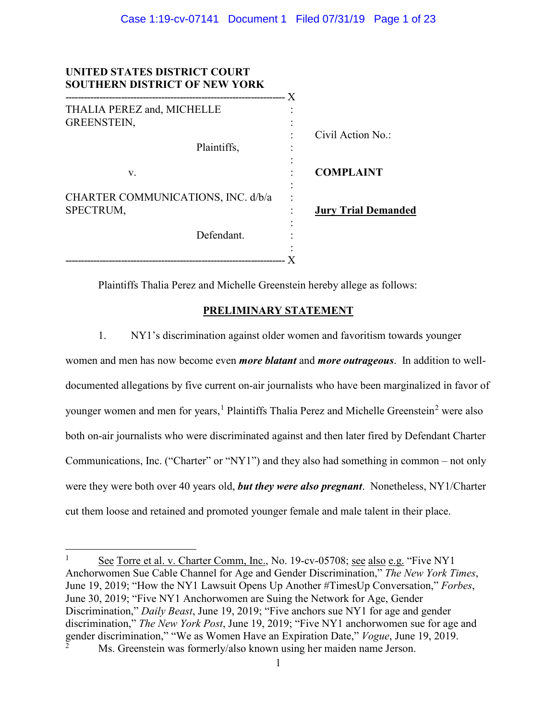| UNITED STATES DISTRICT COURT<br><b>SOUTHERN DISTRICT OF NEW YORK</b> |                            |
|----------------------------------------------------------------------|----------------------------|
| THALIA PEREZ and, MICHELLE<br><b>GREENSTEIN,</b>                     |                            |
| Plaintiffs,                                                          | Civil Action $No.$         |
| v.                                                                   | <b>COMPLAINT</b>           |
| CHARTER COMMUNICATIONS, INC. d/b/a<br>SPECTRUM,                      | <b>Jury Trial Demanded</b> |
| Defendant.                                                           |                            |
|                                                                      |                            |

Plaintiffs Thalia Perez and Michelle Greenstein hereby allege as follows:

# **PRELIMINARY STATEMENT**

1. NY1's discrimination against older women and favoritism towards younger women and men has now become even *more blatant* and *more outrageous*. In addition to welldocumented allegations by five current on-air journalists who have been marginalized in favor of younger women and men for years,<sup>[1](#page-0-0)</sup> Plaintiffs Thalia Perez and Michelle Greenstein<sup>[2](#page-0-1)</sup> were also both on-air journalists who were discriminated against and then later fired by Defendant Charter Communications, Inc. ("Charter" or "NY1") and they also had something in common – not only were they were both over 40 years old, *but they were also pregnant*. Nonetheless, NY1/Charter cut them loose and retained and promoted younger female and male talent in their place.

 $\overline{\phantom{a}}$ 

<span id="page-0-1"></span><span id="page-0-0"></span><sup>&</sup>lt;sup>1</sup> See Torre et al. v. Charter Comm, Inc., No. 19-cv-05708; <u>see also e.g.</u> "Five NY1 Anchorwomen Sue Cable Channel for Age and Gender Discrimination," *The New York Times*, June 19, 2019; "How the NY1 Lawsuit Opens Up Another #TimesUp Conversation," *Forbes*, June 30, 2019; "Five NY1 Anchorwomen are Suing the Network for Age, Gender Discrimination," *Daily Beast*, June 19, 2019; "Five anchors sue NY1 for age and gender discrimination," *The New York Post*, June 19, 2019; "Five NY1 anchorwomen sue for age and gender discrimination," "We as Women Have an Expiration Date," *Vogue*, June 19, 2019. Ms. Greenstein was formerly/also known using her maiden name Jerson.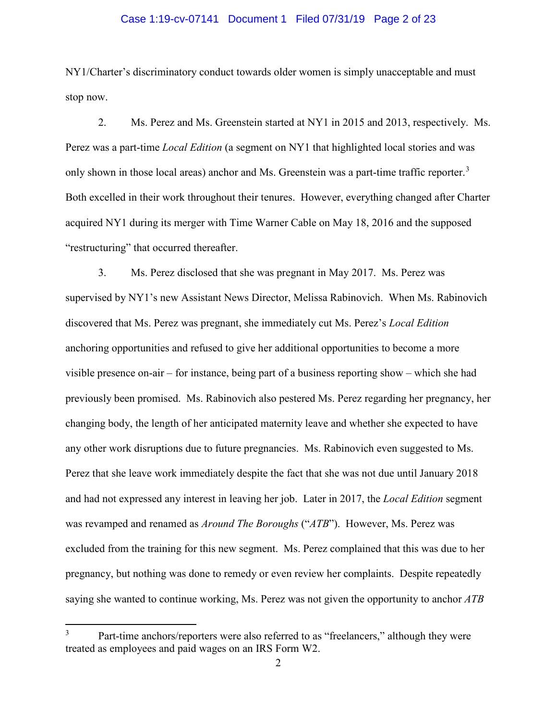## Case 1:19-cv-07141 Document 1 Filed 07/31/19 Page 2 of 23

NY1/Charter's discriminatory conduct towards older women is simply unacceptable and must stop now.

2. Ms. Perez and Ms. Greenstein started at NY1 in 2015 and 2013, respectively. Ms. Perez was a part-time *Local Edition* (a segment on NY1 that highlighted local stories and was only shown in those local areas) anchor and Ms. Greenstein was a part-time traffic reporter.<sup>[3](#page-1-0)</sup> Both excelled in their work throughout their tenures. However, everything changed after Charter acquired NY1 during its merger with Time Warner Cable on May 18, 2016 and the supposed "restructuring" that occurred thereafter.

3. Ms. Perez disclosed that she was pregnant in May 2017. Ms. Perez was supervised by NY1's new Assistant News Director, Melissa Rabinovich. When Ms. Rabinovich discovered that Ms. Perez was pregnant, she immediately cut Ms. Perez's *Local Edition* anchoring opportunities and refused to give her additional opportunities to become a more visible presence on-air – for instance, being part of a business reporting show – which she had previously been promised. Ms. Rabinovich also pestered Ms. Perez regarding her pregnancy, her changing body, the length of her anticipated maternity leave and whether she expected to have any other work disruptions due to future pregnancies. Ms. Rabinovich even suggested to Ms. Perez that she leave work immediately despite the fact that she was not due until January 2018 and had not expressed any interest in leaving her job. Later in 2017, the *Local Edition* segment was revamped and renamed as *Around The Boroughs* ("*ATB*"). However, Ms. Perez was excluded from the training for this new segment. Ms. Perez complained that this was due to her pregnancy, but nothing was done to remedy or even review her complaints. Despite repeatedly saying she wanted to continue working, Ms. Perez was not given the opportunity to anchor *ATB*

l

<span id="page-1-0"></span>Part-time anchors/reporters were also referred to as "freelancers," although they were treated as employees and paid wages on an IRS Form W2.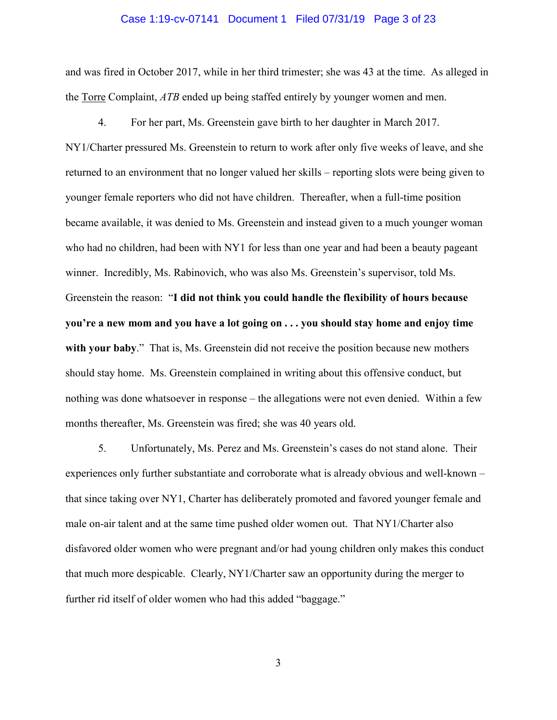## Case 1:19-cv-07141 Document 1 Filed 07/31/19 Page 3 of 23

and was fired in October 2017, while in her third trimester; she was 43 at the time. As alleged in the Torre Complaint, *ATB* ended up being staffed entirely by younger women and men.

4. For her part, Ms. Greenstein gave birth to her daughter in March 2017. NY1/Charter pressured Ms. Greenstein to return to work after only five weeks of leave, and she returned to an environment that no longer valued her skills – reporting slots were being given to younger female reporters who did not have children. Thereafter, when a full-time position became available, it was denied to Ms. Greenstein and instead given to a much younger woman who had no children, had been with NY1 for less than one year and had been a beauty pageant winner. Incredibly, Ms. Rabinovich, who was also Ms. Greenstein's supervisor, told Ms. Greenstein the reason: "**I did not think you could handle the flexibility of hours because you're a new mom and you have a lot going on . . . you should stay home and enjoy time with your baby**." That is, Ms. Greenstein did not receive the position because new mothers should stay home. Ms. Greenstein complained in writing about this offensive conduct, but nothing was done whatsoever in response – the allegations were not even denied. Within a few months thereafter, Ms. Greenstein was fired; she was 40 years old.

5. Unfortunately, Ms. Perez and Ms. Greenstein's cases do not stand alone. Their experiences only further substantiate and corroborate what is already obvious and well-known – that since taking over NY1, Charter has deliberately promoted and favored younger female and male on-air talent and at the same time pushed older women out. That NY1/Charter also disfavored older women who were pregnant and/or had young children only makes this conduct that much more despicable. Clearly, NY1/Charter saw an opportunity during the merger to further rid itself of older women who had this added "baggage."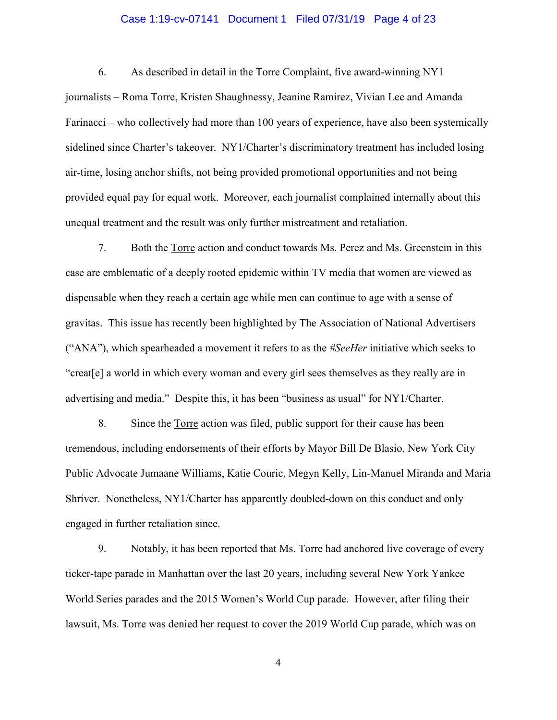## Case 1:19-cv-07141 Document 1 Filed 07/31/19 Page 4 of 23

6. As described in detail in the Torre Complaint, five award-winning NY1 journalists – Roma Torre, Kristen Shaughnessy, Jeanine Ramirez, Vivian Lee and Amanda Farinacci – who collectively had more than 100 years of experience, have also been systemically sidelined since Charter's takeover. NY1/Charter's discriminatory treatment has included losing air-time, losing anchor shifts, not being provided promotional opportunities and not being provided equal pay for equal work. Moreover, each journalist complained internally about this unequal treatment and the result was only further mistreatment and retaliation.

7. Both the Torre action and conduct towards Ms. Perez and Ms. Greenstein in this case are emblematic of a deeply rooted epidemic within TV media that women are viewed as dispensable when they reach a certain age while men can continue to age with a sense of gravitas. This issue has recently been highlighted by The Association of National Advertisers ("ANA"), which spearheaded a movement it refers to as the *#SeeHer* initiative which seeks to "creat[e] a world in which every woman and every girl sees themselves as they really are in advertising and media." Despite this, it has been "business as usual" for NY1/Charter.

8. Since the Torre action was filed, public support for their cause has been tremendous, including endorsements of their efforts by Mayor Bill De Blasio, New York City Public Advocate Jumaane Williams, Katie Couric, Megyn Kelly, Lin-Manuel Miranda and Maria Shriver. Nonetheless, NY1/Charter has apparently doubled-down on this conduct and only engaged in further retaliation since.

9. Notably, it has been reported that Ms. Torre had anchored live coverage of every ticker-tape parade in Manhattan over the last 20 years, including several New York Yankee World Series parades and the 2015 Women's World Cup parade. However, after filing their lawsuit, Ms. Torre was denied her request to cover the 2019 World Cup parade, which was on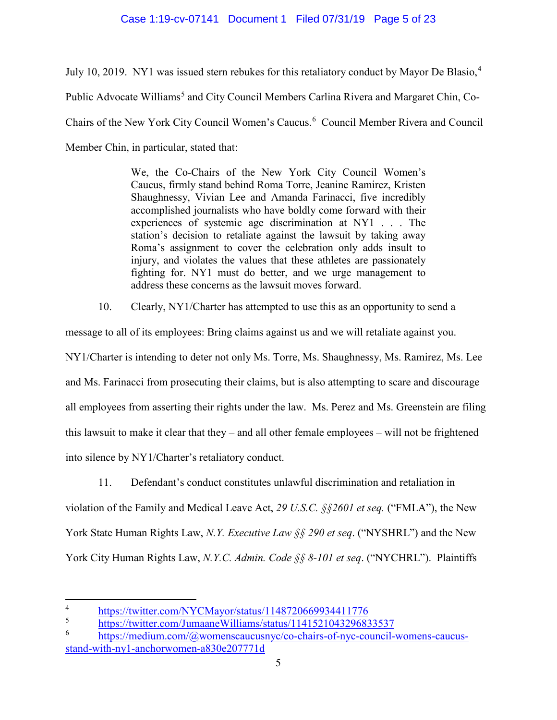# Case 1:19-cv-07141 Document 1 Filed 07/31/19 Page 5 of 23

July 10, 2019. NY1 was issued stern rebukes for this retaliatory conduct by Mayor De Blasio, $4\overline{ }$  $4\overline{ }$ Public Advocate Williams<sup>[5](#page-4-1)</sup> and City Council Members Carlina Rivera and Margaret Chin, Co-Chairs of the New York City Council Women's Caucus.<sup>[6](#page-4-2)</sup> Council Member Rivera and Council Member Chin, in particular, stated that:

> We, the Co-Chairs of the New York City Council Women's Caucus, firmly stand behind Roma Torre, Jeanine Ramirez, Kristen Shaughnessy, Vivian Lee and Amanda Farinacci, five incredibly accomplished journalists who have boldly come forward with their experiences of systemic age discrimination at NY1 . . . The station's decision to retaliate against the lawsuit by taking away Roma's assignment to cover the celebration only adds insult to injury, and violates the values that these athletes are passionately fighting for. NY1 must do better, and we urge management to address these concerns as the lawsuit moves forward.

10. Clearly, NY1/Charter has attempted to use this as an opportunity to send a

message to all of its employees: Bring claims against us and we will retaliate against you.

NY1/Charter is intending to deter not only Ms. Torre, Ms. Shaughnessy, Ms. Ramirez, Ms. Lee and Ms. Farinacci from prosecuting their claims, but is also attempting to scare and discourage all employees from asserting their rights under the law. Ms. Perez and Ms. Greenstein are filing this lawsuit to make it clear that they – and all other female employees – will not be frightened into silence by NY1/Charter's retaliatory conduct.

11. Defendant's conduct constitutes unlawful discrimination and retaliation in violation of the Family and Medical Leave Act, *29 U.S.C. §§2601 et seq.* ("FMLA"), the New York State Human Rights Law, *N.Y. Executive Law §§ 290 et seq*. ("NYSHRL") and the New York City Human Rights Law, *N.Y.C. Admin. Code §§ 8-101 et seq*. ("NYCHRL"). Plaintiffs

 $\overline{\phantom{a}}$ 

<span id="page-4-0"></span><sup>&</sup>lt;sup>4</sup><br><https://twitter.com/NYCMayor/status/1148720669934411776><br>https://twitter.com/JumaaneWilliams/status/114152104329683

<span id="page-4-1"></span> $\frac{5}{\text{https://twitter.com/JumaaneWilliams/status/1141521043296833537}}$  $\frac{5}{\text{https://twitter.com/JumaaneWilliams/status/1141521043296833537}}$  $\frac{5}{\text{https://twitter.com/JumaaneWilliams/status/1141521043296833537}}$ 

<span id="page-4-2"></span>[https://medium.com/@womenscaucusnyc/co-chairs-of-nyc-council-womens-caucus](https://medium.com/@womenscaucusnyc/co-chairs-of-nyc-council-womens-caucus-stand-with-ny1-anchorwomen-a830e207771d)[stand-with-ny1-anchorwomen-a830e207771d](https://medium.com/@womenscaucusnyc/co-chairs-of-nyc-council-womens-caucus-stand-with-ny1-anchorwomen-a830e207771d)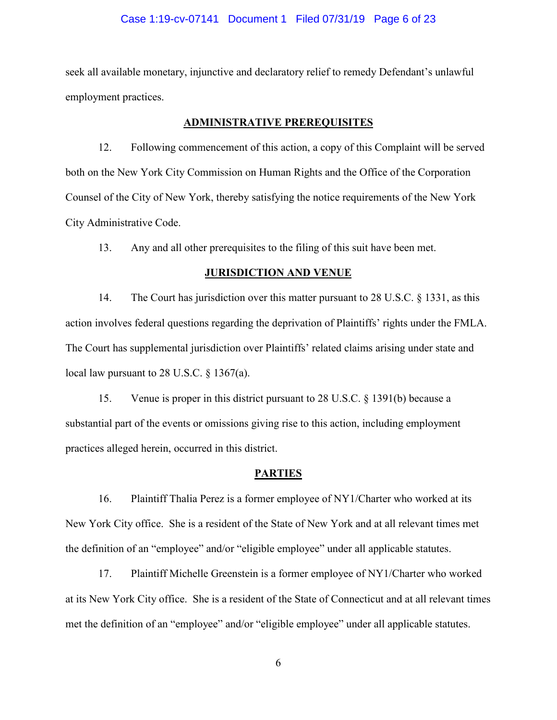## Case 1:19-cv-07141 Document 1 Filed 07/31/19 Page 6 of 23

seek all available monetary, injunctive and declaratory relief to remedy Defendant's unlawful employment practices.

## **ADMINISTRATIVE PREREQUISITES**

12. Following commencement of this action, a copy of this Complaint will be served both on the New York City Commission on Human Rights and the Office of the Corporation Counsel of the City of New York, thereby satisfying the notice requirements of the New York City Administrative Code.

13. Any and all other prerequisites to the filing of this suit have been met.

### **JURISDICTION AND VENUE**

14. The Court has jurisdiction over this matter pursuant to 28 U.S.C. § 1331, as this action involves federal questions regarding the deprivation of Plaintiffs' rights under the FMLA. The Court has supplemental jurisdiction over Plaintiffs' related claims arising under state and local law pursuant to 28 U.S.C. § 1367(a).

15. Venue is proper in this district pursuant to 28 U.S.C. § 1391(b) because a substantial part of the events or omissions giving rise to this action, including employment practices alleged herein, occurred in this district.

#### **PARTIES**

16. Plaintiff Thalia Perez is a former employee of NY1/Charter who worked at its New York City office. She is a resident of the State of New York and at all relevant times met the definition of an "employee" and/or "eligible employee" under all applicable statutes.

17. Plaintiff Michelle Greenstein is a former employee of NY1/Charter who worked at its New York City office. She is a resident of the State of Connecticut and at all relevant times met the definition of an "employee" and/or "eligible employee" under all applicable statutes.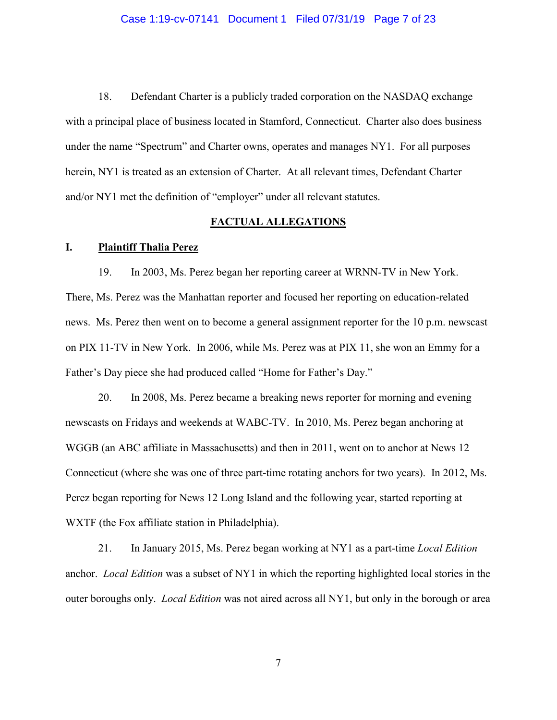## Case 1:19-cv-07141 Document 1 Filed 07/31/19 Page 7 of 23

18. Defendant Charter is a publicly traded corporation on the NASDAQ exchange with a principal place of business located in Stamford, Connecticut. Charter also does business under the name "Spectrum" and Charter owns, operates and manages NY1. For all purposes herein, NY1 is treated as an extension of Charter. At all relevant times, Defendant Charter and/or NY1 met the definition of "employer" under all relevant statutes.

## **FACTUAL ALLEGATIONS**

## **I. Plaintiff Thalia Perez**

19. In 2003, Ms. Perez began her reporting career at WRNN-TV in New York. There, Ms. Perez was the Manhattan reporter and focused her reporting on education-related news. Ms. Perez then went on to become a general assignment reporter for the 10 p.m. newscast on PIX 11-TV in New York. In 2006, while Ms. Perez was at PIX 11, she won an Emmy for a Father's Day piece she had produced called "Home for Father's Day."

20. In 2008, Ms. Perez became a breaking news reporter for morning and evening newscasts on Fridays and weekends at WABC-TV. In 2010, Ms. Perez began anchoring at WGGB (an ABC affiliate in Massachusetts) and then in 2011, went on to anchor at News 12 Connecticut (where she was one of three part-time rotating anchors for two years). In 2012, Ms. Perez began reporting for News 12 Long Island and the following year, started reporting at WXTF (the Fox affiliate station in Philadelphia).

21. In January 2015, Ms. Perez began working at NY1 as a part-time *Local Edition* anchor. *Local Edition* was a subset of NY1 in which the reporting highlighted local stories in the outer boroughs only. *Local Edition* was not aired across all NY1, but only in the borough or area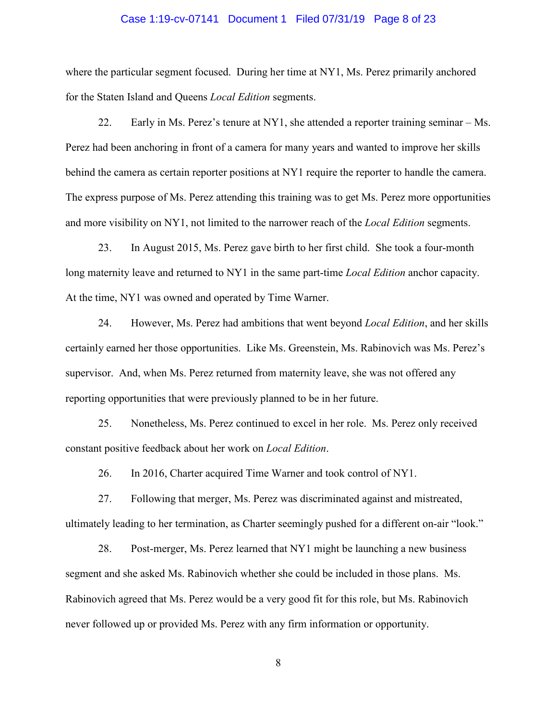## Case 1:19-cv-07141 Document 1 Filed 07/31/19 Page 8 of 23

where the particular segment focused. During her time at NY1, Ms. Perez primarily anchored for the Staten Island and Queens *Local Edition* segments.

22. Early in Ms. Perez's tenure at  $NY1$ , she attended a reporter training seminar  $-Ms$ . Perez had been anchoring in front of a camera for many years and wanted to improve her skills behind the camera as certain reporter positions at NY1 require the reporter to handle the camera. The express purpose of Ms. Perez attending this training was to get Ms. Perez more opportunities and more visibility on NY1, not limited to the narrower reach of the *Local Edition* segments.

23. In August 2015, Ms. Perez gave birth to her first child. She took a four-month long maternity leave and returned to NY1 in the same part-time *Local Edition* anchor capacity. At the time, NY1 was owned and operated by Time Warner.

24. However, Ms. Perez had ambitions that went beyond *Local Edition*, and her skills certainly earned her those opportunities. Like Ms. Greenstein, Ms. Rabinovich was Ms. Perez's supervisor. And, when Ms. Perez returned from maternity leave, she was not offered any reporting opportunities that were previously planned to be in her future.

25. Nonetheless, Ms. Perez continued to excel in her role. Ms. Perez only received constant positive feedback about her work on *Local Edition*.

26. In 2016, Charter acquired Time Warner and took control of NY1.

27. Following that merger, Ms. Perez was discriminated against and mistreated, ultimately leading to her termination, as Charter seemingly pushed for a different on-air "look."

28. Post-merger, Ms. Perez learned that NY1 might be launching a new business segment and she asked Ms. Rabinovich whether she could be included in those plans. Ms. Rabinovich agreed that Ms. Perez would be a very good fit for this role, but Ms. Rabinovich never followed up or provided Ms. Perez with any firm information or opportunity.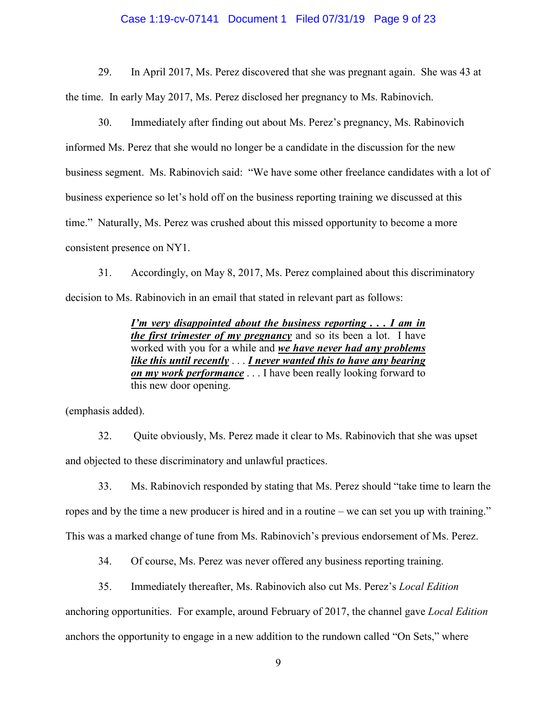## Case 1:19-cv-07141 Document 1 Filed 07/31/19 Page 9 of 23

29. In April 2017, Ms. Perez discovered that she was pregnant again. She was 43 at the time. In early May 2017, Ms. Perez disclosed her pregnancy to Ms. Rabinovich.

30. Immediately after finding out about Ms. Perez's pregnancy, Ms. Rabinovich informed Ms. Perez that she would no longer be a candidate in the discussion for the new business segment. Ms. Rabinovich said: "We have some other freelance candidates with a lot of business experience so let's hold off on the business reporting training we discussed at this time." Naturally, Ms. Perez was crushed about this missed opportunity to become a more consistent presence on NY1.

31. Accordingly, on May 8, 2017, Ms. Perez complained about this discriminatory decision to Ms. Rabinovich in an email that stated in relevant part as follows:

> *I'm very disappointed about the business reporting . . . I am in the first trimester of my pregnancy* and so its been a lot. I have worked with you for a while and *we have never had any problems like this until recently* . . . *I never wanted this to have any bearing on my work performance* . . . I have been really looking forward to this new door opening.

(emphasis added).

32. Quite obviously, Ms. Perez made it clear to Ms. Rabinovich that she was upset and objected to these discriminatory and unlawful practices.

33. Ms. Rabinovich responded by stating that Ms. Perez should "take time to learn the ropes and by the time a new producer is hired and in a routine – we can set you up with training." This was a marked change of tune from Ms. Rabinovich's previous endorsement of Ms. Perez.

34. Of course, Ms. Perez was never offered any business reporting training.

35. Immediately thereafter, Ms. Rabinovich also cut Ms. Perez's *Local Edition*

anchoring opportunities. For example, around February of 2017, the channel gave *Local Edition*

anchors the opportunity to engage in a new addition to the rundown called "On Sets," where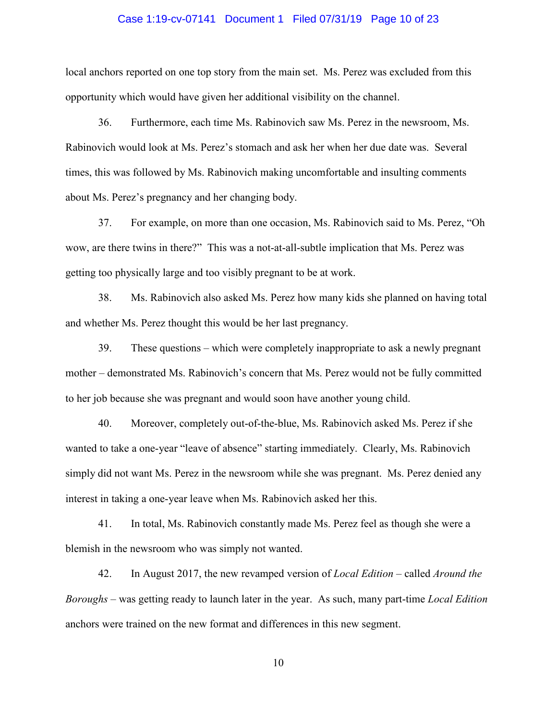## Case 1:19-cv-07141 Document 1 Filed 07/31/19 Page 10 of 23

local anchors reported on one top story from the main set. Ms. Perez was excluded from this opportunity which would have given her additional visibility on the channel.

36. Furthermore, each time Ms. Rabinovich saw Ms. Perez in the newsroom, Ms. Rabinovich would look at Ms. Perez's stomach and ask her when her due date was. Several times, this was followed by Ms. Rabinovich making uncomfortable and insulting comments about Ms. Perez's pregnancy and her changing body.

37. For example, on more than one occasion, Ms. Rabinovich said to Ms. Perez, "Oh wow, are there twins in there?" This was a not-at-all-subtle implication that Ms. Perez was getting too physically large and too visibly pregnant to be at work.

38. Ms. Rabinovich also asked Ms. Perez how many kids she planned on having total and whether Ms. Perez thought this would be her last pregnancy.

39. These questions – which were completely inappropriate to ask a newly pregnant mother – demonstrated Ms. Rabinovich's concern that Ms. Perez would not be fully committed to her job because she was pregnant and would soon have another young child.

40. Moreover, completely out-of-the-blue, Ms. Rabinovich asked Ms. Perez if she wanted to take a one-year "leave of absence" starting immediately. Clearly, Ms. Rabinovich simply did not want Ms. Perez in the newsroom while she was pregnant. Ms. Perez denied any interest in taking a one-year leave when Ms. Rabinovich asked her this.

41. In total, Ms. Rabinovich constantly made Ms. Perez feel as though she were a blemish in the newsroom who was simply not wanted.

42. In August 2017, the new revamped version of *Local Edition* – called *Around the Boroughs* – was getting ready to launch later in the year. As such, many part-time *Local Edition* anchors were trained on the new format and differences in this new segment.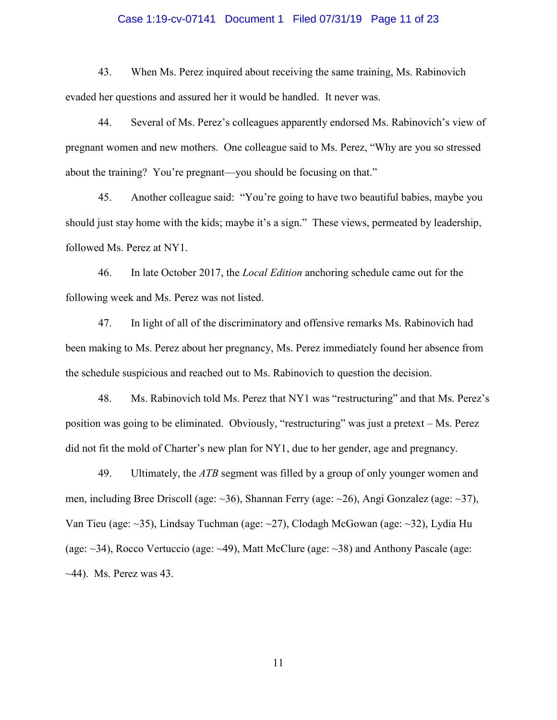## Case 1:19-cv-07141 Document 1 Filed 07/31/19 Page 11 of 23

43. When Ms. Perez inquired about receiving the same training, Ms. Rabinovich evaded her questions and assured her it would be handled. It never was.

44. Several of Ms. Perez's colleagues apparently endorsed Ms. Rabinovich's view of pregnant women and new mothers. One colleague said to Ms. Perez, "Why are you so stressed about the training? You're pregnant—you should be focusing on that."

45. Another colleague said: "You're going to have two beautiful babies, maybe you should just stay home with the kids; maybe it's a sign." These views, permeated by leadership, followed Ms. Perez at NY1.

46. In late October 2017, the *Local Edition* anchoring schedule came out for the following week and Ms. Perez was not listed.

47. In light of all of the discriminatory and offensive remarks Ms. Rabinovich had been making to Ms. Perez about her pregnancy, Ms. Perez immediately found her absence from the schedule suspicious and reached out to Ms. Rabinovich to question the decision.

48. Ms. Rabinovich told Ms. Perez that NY1 was "restructuring" and that Ms. Perez's position was going to be eliminated. Obviously, "restructuring" was just a pretext – Ms. Perez did not fit the mold of Charter's new plan for NY1, due to her gender, age and pregnancy.

49. Ultimately, the *ATB* segment was filled by a group of only younger women and men, including Bree Driscoll (age: ~36), Shannan Ferry (age: ~26), Angi Gonzalez (age: ~37), Van Tieu (age: ~35), Lindsay Tuchman (age: ~27), Clodagh McGowan (age: ~32), Lydia Hu (age: ~34), Rocco Vertuccio (age: ~49), Matt McClure (age: ~38) and Anthony Pascale (age:  $\sim$ 44). Ms. Perez was 43.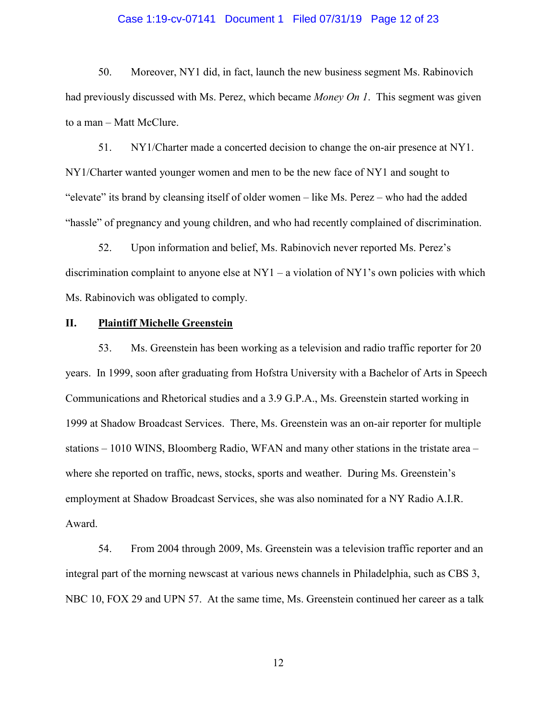#### Case 1:19-cv-07141 Document 1 Filed 07/31/19 Page 12 of 23

50. Moreover, NY1 did, in fact, launch the new business segment Ms. Rabinovich had previously discussed with Ms. Perez, which became *Money On 1*. This segment was given to a man – Matt McClure.

51. NY1/Charter made a concerted decision to change the on-air presence at NY1. NY1/Charter wanted younger women and men to be the new face of NY1 and sought to "elevate" its brand by cleansing itself of older women – like Ms. Perez – who had the added "hassle" of pregnancy and young children, and who had recently complained of discrimination.

52. Upon information and belief, Ms. Rabinovich never reported Ms. Perez's discrimination complaint to anyone else at  $NY1 - a$  violation of  $NY1$ 's own policies with which Ms. Rabinovich was obligated to comply.

## **II. Plaintiff Michelle Greenstein**

53. Ms. Greenstein has been working as a television and radio traffic reporter for 20 years. In 1999, soon after graduating from Hofstra University with a Bachelor of Arts in Speech Communications and Rhetorical studies and a 3.9 G.P.A., Ms. Greenstein started working in 1999 at Shadow Broadcast Services. There, Ms. Greenstein was an on-air reporter for multiple stations – 1010 WINS, Bloomberg Radio, WFAN and many other stations in the tristate area – where she reported on traffic, news, stocks, sports and weather. During Ms. Greenstein's employment at Shadow Broadcast Services, she was also nominated for a NY Radio A.I.R. Award.

54. From 2004 through 2009, Ms. Greenstein was a television traffic reporter and an integral part of the morning newscast at various news channels in Philadelphia, such as CBS 3, NBC 10, FOX 29 and UPN 57. At the same time, Ms. Greenstein continued her career as a talk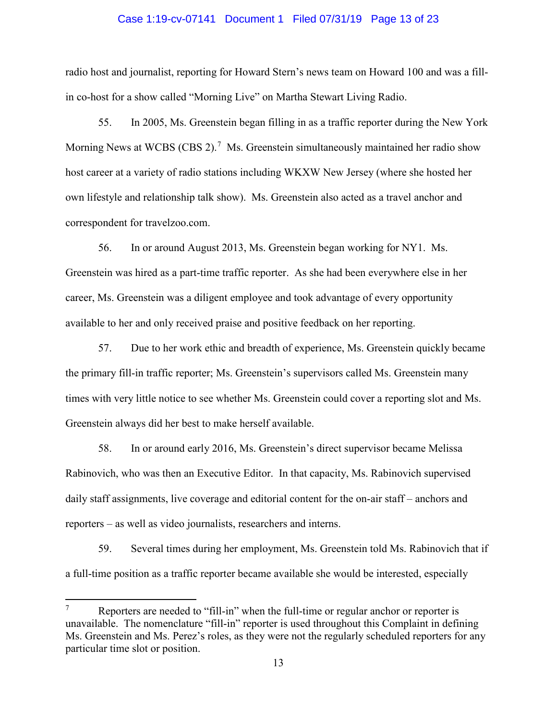#### Case 1:19-cv-07141 Document 1 Filed 07/31/19 Page 13 of 23

radio host and journalist, reporting for Howard Stern's news team on Howard 100 and was a fillin co-host for a show called "Morning Live" on Martha Stewart Living Radio.

55. In 2005, Ms. Greenstein began filling in as a traffic reporter during the New York Morning News at WCBS (CBS 2).<sup>[7](#page-12-0)</sup> Ms. Greenstein simultaneously maintained her radio show host career at a variety of radio stations including WKXW New Jersey (where she hosted her own lifestyle and relationship talk show). Ms. Greenstein also acted as a travel anchor and correspondent for travelzoo.com.

56. In or around August 2013, Ms. Greenstein began working for NY1. Ms. Greenstein was hired as a part-time traffic reporter. As she had been everywhere else in her career, Ms. Greenstein was a diligent employee and took advantage of every opportunity available to her and only received praise and positive feedback on her reporting.

57. Due to her work ethic and breadth of experience, Ms. Greenstein quickly became the primary fill-in traffic reporter; Ms. Greenstein's supervisors called Ms. Greenstein many times with very little notice to see whether Ms. Greenstein could cover a reporting slot and Ms. Greenstein always did her best to make herself available.

58. In or around early 2016, Ms. Greenstein's direct supervisor became Melissa Rabinovich, who was then an Executive Editor. In that capacity, Ms. Rabinovich supervised daily staff assignments, live coverage and editorial content for the on-air staff – anchors and reporters – as well as video journalists, researchers and interns.

59. Several times during her employment, Ms. Greenstein told Ms. Rabinovich that if a full-time position as a traffic reporter became available she would be interested, especially

 $\overline{\phantom{a}}$ 

<span id="page-12-0"></span> $7$  Reporters are needed to "fill-in" when the full-time or regular anchor or reporter is unavailable. The nomenclature "fill-in" reporter is used throughout this Complaint in defining Ms. Greenstein and Ms. Perez's roles, as they were not the regularly scheduled reporters for any particular time slot or position.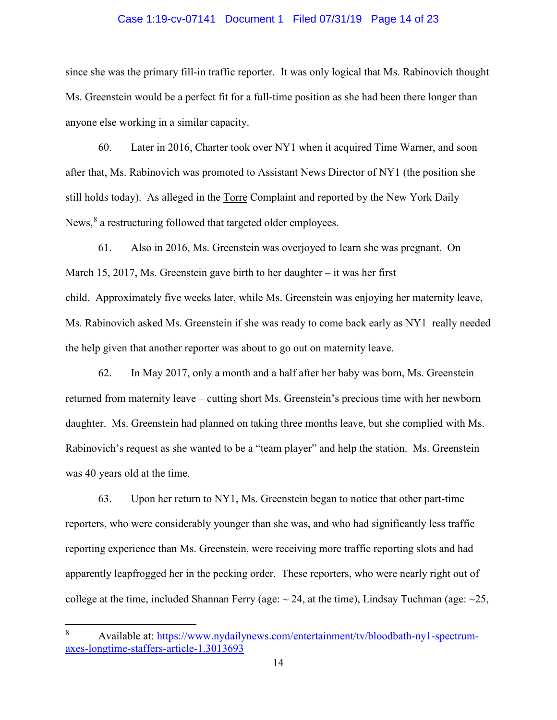## Case 1:19-cv-07141 Document 1 Filed 07/31/19 Page 14 of 23

since she was the primary fill-in traffic reporter. It was only logical that Ms. Rabinovich thought Ms. Greenstein would be a perfect fit for a full-time position as she had been there longer than anyone else working in a similar capacity.

60. Later in 2016, Charter took over NY1 when it acquired Time Warner, and soon after that, Ms. Rabinovich was promoted to Assistant News Director of NY1 (the position she still holds today). As alleged in the Torre Complaint and reported by the New York Daily News,<sup>[8](#page-13-0)</sup> a restructuring followed that targeted older employees.

61. Also in 2016, Ms. Greenstein was overjoyed to learn she was pregnant. On March 15, 2017, Ms. Greenstein gave birth to her daughter – it was her first child. Approximately five weeks later, while Ms. Greenstein was enjoying her maternity leave, Ms. Rabinovich asked Ms. Greenstein if she was ready to come back early as NY1 really needed the help given that another reporter was about to go out on maternity leave.

62. In May 2017, only a month and a half after her baby was born, Ms. Greenstein returned from maternity leave – cutting short Ms. Greenstein's precious time with her newborn daughter. Ms. Greenstein had planned on taking three months leave, but she complied with Ms. Rabinovich's request as she wanted to be a "team player" and help the station. Ms. Greenstein was 40 years old at the time.

63. Upon her return to NY1, Ms. Greenstein began to notice that other part-time reporters, who were considerably younger than she was, and who had significantly less traffic reporting experience than Ms. Greenstein, were receiving more traffic reporting slots and had apparently leapfrogged her in the pecking order. These reporters, who were nearly right out of college at the time, included Shannan Ferry (age:  $\sim$  24, at the time), Lindsay Tuchman (age:  $\sim$  25,

l

<span id="page-13-0"></span>Available at: [https://www.nydailynews.com/entertainment/tv/bloodbath-ny1-spectrum](https://www.nydailynews.com/entertainment/tv/bloodbath-ny1-spectrum-axes-longtime-staffers-article-1.3013693)[axes-longtime-staffers-article-1.3013693](https://www.nydailynews.com/entertainment/tv/bloodbath-ny1-spectrum-axes-longtime-staffers-article-1.3013693)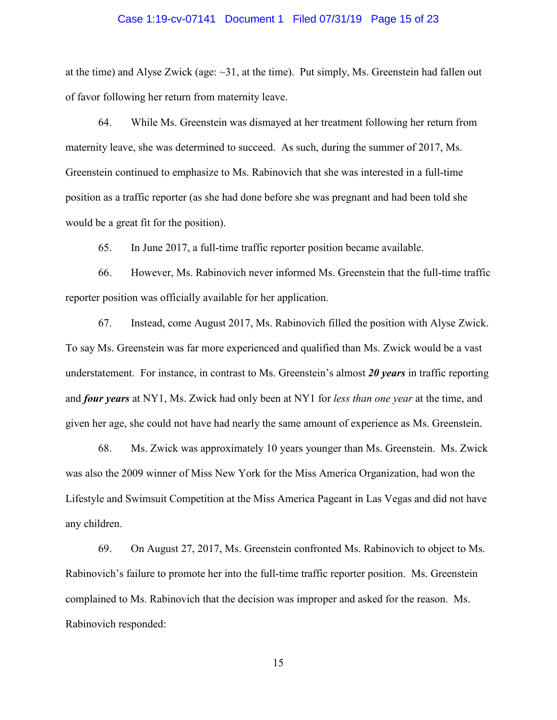#### Case 1:19-cv-07141 Document 1 Filed 07/31/19 Page 15 of 23

at the time) and Alyse Zwick (age: ~31, at the time). Put simply, Ms. Greenstein had fallen out of favor following her return from maternity leave.

64. While Ms. Greenstein was dismayed at her treatment following her return from maternity leave, she was determined to succeed. As such, during the summer of 2017, Ms. Greenstein continued to emphasize to Ms. Rabinovich that she was interested in a full-time position as a traffic reporter (as she had done before she was pregnant and had been told she would be a great fit for the position).

65. In June 2017, a full-time traffic reporter position became available.

66. However, Ms. Rabinovich never informed Ms. Greenstein that the full-time traffic reporter position was officially available for her application.

67. Instead, come August 2017, Ms. Rabinovich filled the position with Alyse Zwick. To say Ms. Greenstein was far more experienced and qualified than Ms. Zwick would be a vast understatement. For instance, in contrast to Ms. Greenstein's almost *20 years* in traffic reporting and *four years* at NY1, Ms. Zwick had only been at NY1 for *less than one year* at the time, and given her age, she could not have had nearly the same amount of experience as Ms. Greenstein.

68. Ms. Zwick was approximately 10 years younger than Ms. Greenstein. Ms. Zwick was also the 2009 winner of Miss New York for the Miss America Organization, had won the Lifestyle and Swimsuit Competition at the Miss America Pageant in Las Vegas and did not have any children.

69. On August 27, 2017, Ms. Greenstein confronted Ms. Rabinovich to object to Ms. Rabinovich's failure to promote her into the full-time traffic reporter position. Ms. Greenstein complained to Ms. Rabinovich that the decision was improper and asked for the reason. Ms. Rabinovich responded: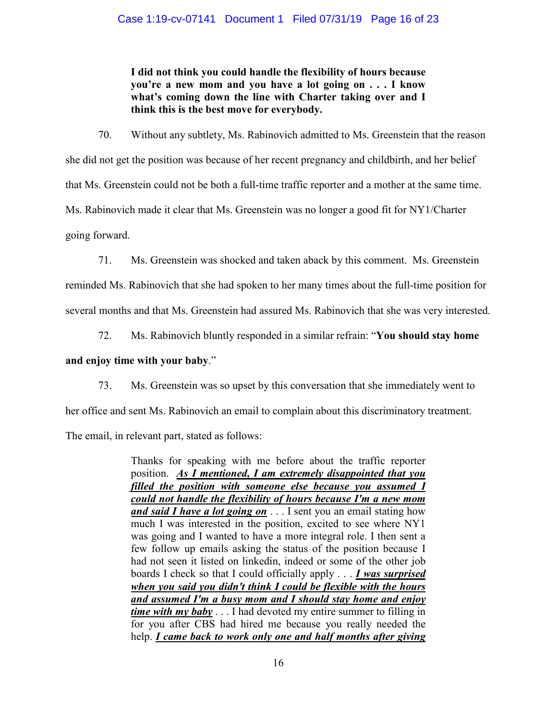## Case 1:19-cv-07141 Document 1 Filed 07/31/19 Page 16 of 23

**I did not think you could handle the flexibility of hours because you're a new mom and you have a lot going on . . . I know what's coming down the line with Charter taking over and I think this is the best move for everybody.** 

70. Without any subtlety, Ms. Rabinovich admitted to Ms. Greenstein that the reason she did not get the position was because of her recent pregnancy and childbirth, and her belief that Ms. Greenstein could not be both a full-time traffic reporter and a mother at the same time. Ms. Rabinovich made it clear that Ms. Greenstein was no longer a good fit for NY1/Charter going forward.

71. Ms. Greenstein was shocked and taken aback by this comment. Ms. Greenstein

reminded Ms. Rabinovich that she had spoken to her many times about the full-time position for several months and that Ms. Greenstein had assured Ms. Rabinovich that she was very interested.

72. Ms. Rabinovich bluntly responded in a similar refrain: "**You should stay home** 

## **and enjoy time with your baby**."

73. Ms. Greenstein was so upset by this conversation that she immediately went to

her office and sent Ms. Rabinovich an email to complain about this discriminatory treatment.

The email, in relevant part, stated as follows:

Thanks for speaking with me before about the traffic reporter position. *As I mentioned, I am extremely disappointed that you filled the position with someone else because you assumed I could not handle the flexibility of hours because I'm a new mom and said I have a lot going on* . . . I sent you an email stating how much I was interested in the position, excited to see where NY1 was going and I wanted to have a more integral role. I then sent a few follow up emails asking the status of the position because I had not seen it listed on linkedin, indeed or some of the other job boards I check so that I could officially apply . . . *I was surprised when you said you didn't think I could be flexible with the hours and assumed I'm a busy mom and I should stay home and enjoy time with my baby* . . . I had devoted my entire summer to filling in for you after CBS had hired me because you really needed the help. *I came back to work only one and half months after giving*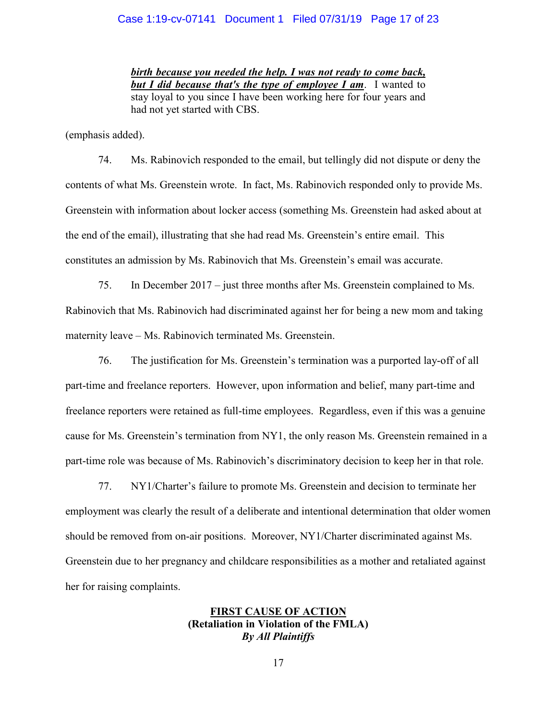## Case 1:19-cv-07141 Document 1 Filed 07/31/19 Page 17 of 23

*birth because you needed the help. I was not ready to come back, but I did because that's the type of employee I am*. I wanted to stay loyal to you since I have been working here for four years and had not yet started with CBS.

(emphasis added).

74. Ms. Rabinovich responded to the email, but tellingly did not dispute or deny the contents of what Ms. Greenstein wrote. In fact, Ms. Rabinovich responded only to provide Ms. Greenstein with information about locker access (something Ms. Greenstein had asked about at the end of the email), illustrating that she had read Ms. Greenstein's entire email. This constitutes an admission by Ms. Rabinovich that Ms. Greenstein's email was accurate.

75. In December 2017 – just three months after Ms. Greenstein complained to Ms. Rabinovich that Ms. Rabinovich had discriminated against her for being a new mom and taking maternity leave – Ms. Rabinovich terminated Ms. Greenstein.

76. The justification for Ms. Greenstein's termination was a purported lay-off of all part-time and freelance reporters. However, upon information and belief, many part-time and freelance reporters were retained as full-time employees. Regardless, even if this was a genuine cause for Ms. Greenstein's termination from NY1, the only reason Ms. Greenstein remained in a part-time role was because of Ms. Rabinovich's discriminatory decision to keep her in that role.

77. NY1/Charter's failure to promote Ms. Greenstein and decision to terminate her employment was clearly the result of a deliberate and intentional determination that older women should be removed from on-air positions. Moreover, NY1/Charter discriminated against Ms. Greenstein due to her pregnancy and childcare responsibilities as a mother and retaliated against her for raising complaints.

# **FIRST CAUSE OF ACTION (Retaliation in Violation of the FMLA)** *By All Plaintiffs*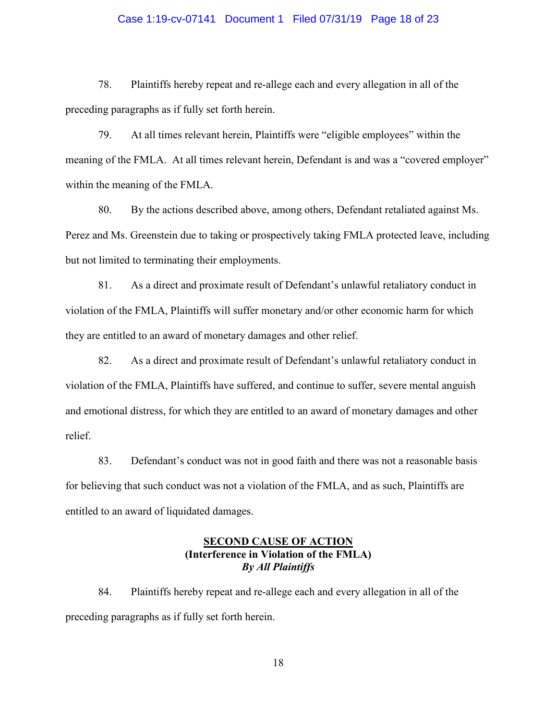## Case 1:19-cv-07141 Document 1 Filed 07/31/19 Page 18 of 23

78. Plaintiffs hereby repeat and re-allege each and every allegation in all of the preceding paragraphs as if fully set forth herein.

79. At all times relevant herein, Plaintiffs were "eligible employees" within the meaning of the FMLA. At all times relevant herein, Defendant is and was a "covered employer" within the meaning of the FMLA.

80. By the actions described above, among others, Defendant retaliated against Ms. Perez and Ms. Greenstein due to taking or prospectively taking FMLA protected leave, including but not limited to terminating their employments.

81. As a direct and proximate result of Defendant's unlawful retaliatory conduct in violation of the FMLA, Plaintiffs will suffer monetary and/or other economic harm for which they are entitled to an award of monetary damages and other relief.

82. As a direct and proximate result of Defendant's unlawful retaliatory conduct in violation of the FMLA, Plaintiffs have suffered, and continue to suffer, severe mental anguish and emotional distress, for which they are entitled to an award of monetary damages and other relief.

83. Defendant's conduct was not in good faith and there was not a reasonable basis for believing that such conduct was not a violation of the FMLA, and as such, Plaintiffs are entitled to an award of liquidated damages.

## **SECOND CAUSE OF ACTION (Interference in Violation of the FMLA)** *By All Plaintiffs*

84. Plaintiffs hereby repeat and re-allege each and every allegation in all of the preceding paragraphs as if fully set forth herein.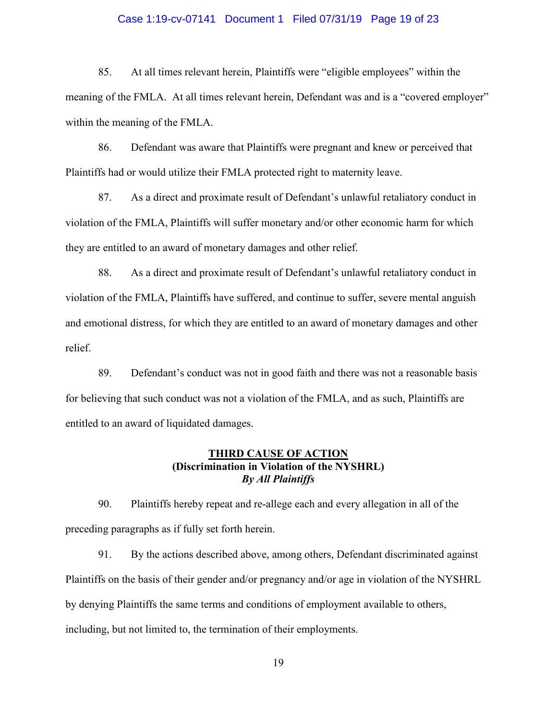## Case 1:19-cv-07141 Document 1 Filed 07/31/19 Page 19 of 23

85. At all times relevant herein, Plaintiffs were "eligible employees" within the meaning of the FMLA. At all times relevant herein, Defendant was and is a "covered employer" within the meaning of the FMLA.

86. Defendant was aware that Plaintiffs were pregnant and knew or perceived that Plaintiffs had or would utilize their FMLA protected right to maternity leave.

87. As a direct and proximate result of Defendant's unlawful retaliatory conduct in violation of the FMLA, Plaintiffs will suffer monetary and/or other economic harm for which they are entitled to an award of monetary damages and other relief.

88. As a direct and proximate result of Defendant's unlawful retaliatory conduct in violation of the FMLA, Plaintiffs have suffered, and continue to suffer, severe mental anguish and emotional distress, for which they are entitled to an award of monetary damages and other relief.

89. Defendant's conduct was not in good faith and there was not a reasonable basis for believing that such conduct was not a violation of the FMLA, and as such, Plaintiffs are entitled to an award of liquidated damages.

# **THIRD CAUSE OF ACTION (Discrimination in Violation of the NYSHRL)** *By All Plaintiffs*

90. Plaintiffs hereby repeat and re-allege each and every allegation in all of the preceding paragraphs as if fully set forth herein.

91. By the actions described above, among others, Defendant discriminated against Plaintiffs on the basis of their gender and/or pregnancy and/or age in violation of the NYSHRL by denying Plaintiffs the same terms and conditions of employment available to others, including, but not limited to, the termination of their employments.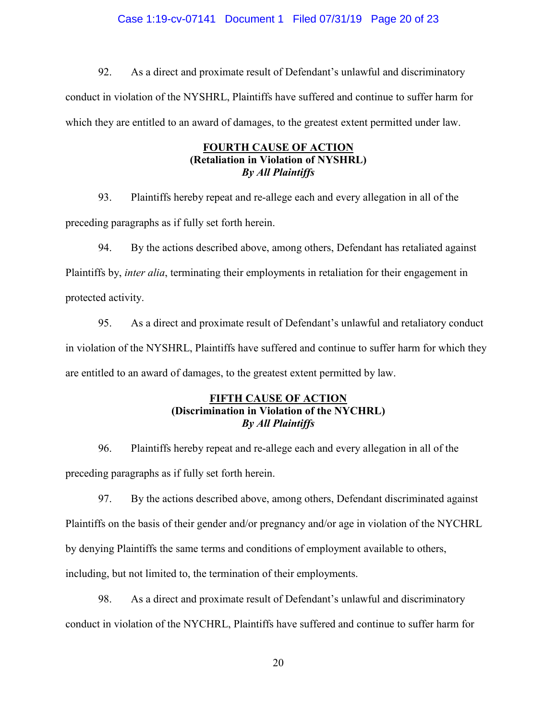# Case 1:19-cv-07141 Document 1 Filed 07/31/19 Page 20 of 23

92. As a direct and proximate result of Defendant's unlawful and discriminatory conduct in violation of the NYSHRL, Plaintiffs have suffered and continue to suffer harm for which they are entitled to an award of damages, to the greatest extent permitted under law.

# **FOURTH CAUSE OF ACTION (Retaliation in Violation of NYSHRL)** *By All Plaintiffs*

93. Plaintiffs hereby repeat and re-allege each and every allegation in all of the preceding paragraphs as if fully set forth herein.

94. By the actions described above, among others, Defendant has retaliated against Plaintiffs by, *inter alia*, terminating their employments in retaliation for their engagement in protected activity.

95. As a direct and proximate result of Defendant's unlawful and retaliatory conduct in violation of the NYSHRL, Plaintiffs have suffered and continue to suffer harm for which they are entitled to an award of damages, to the greatest extent permitted by law.

# **FIFTH CAUSE OF ACTION (Discrimination in Violation of the NYCHRL)** *By All Plaintiffs*

96. Plaintiffs hereby repeat and re-allege each and every allegation in all of the preceding paragraphs as if fully set forth herein.

97. By the actions described above, among others, Defendant discriminated against Plaintiffs on the basis of their gender and/or pregnancy and/or age in violation of the NYCHRL by denying Plaintiffs the same terms and conditions of employment available to others, including, but not limited to, the termination of their employments.

98. As a direct and proximate result of Defendant's unlawful and discriminatory conduct in violation of the NYCHRL, Plaintiffs have suffered and continue to suffer harm for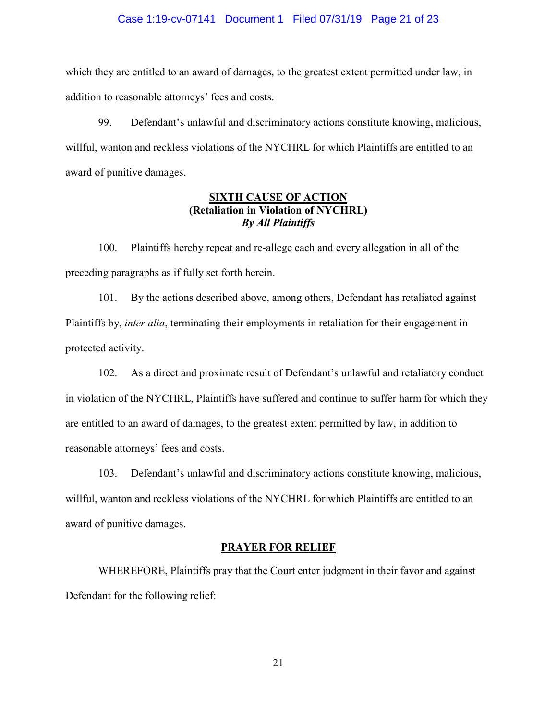## Case 1:19-cv-07141 Document 1 Filed 07/31/19 Page 21 of 23

which they are entitled to an award of damages, to the greatest extent permitted under law, in addition to reasonable attorneys' fees and costs.

99. Defendant's unlawful and discriminatory actions constitute knowing, malicious, willful, wanton and reckless violations of the NYCHRL for which Plaintiffs are entitled to an award of punitive damages.

## **SIXTH CAUSE OF ACTION (Retaliation in Violation of NYCHRL)** *By All Plaintiffs*

100. Plaintiffs hereby repeat and re-allege each and every allegation in all of the preceding paragraphs as if fully set forth herein.

101. By the actions described above, among others, Defendant has retaliated against Plaintiffs by, *inter alia*, terminating their employments in retaliation for their engagement in protected activity.

102. As a direct and proximate result of Defendant's unlawful and retaliatory conduct in violation of the NYCHRL, Plaintiffs have suffered and continue to suffer harm for which they are entitled to an award of damages, to the greatest extent permitted by law, in addition to reasonable attorneys' fees and costs.

103. Defendant's unlawful and discriminatory actions constitute knowing, malicious, willful, wanton and reckless violations of the NYCHRL for which Plaintiffs are entitled to an award of punitive damages.

## **PRAYER FOR RELIEF**

WHEREFORE, Plaintiffs pray that the Court enter judgment in their favor and against Defendant for the following relief: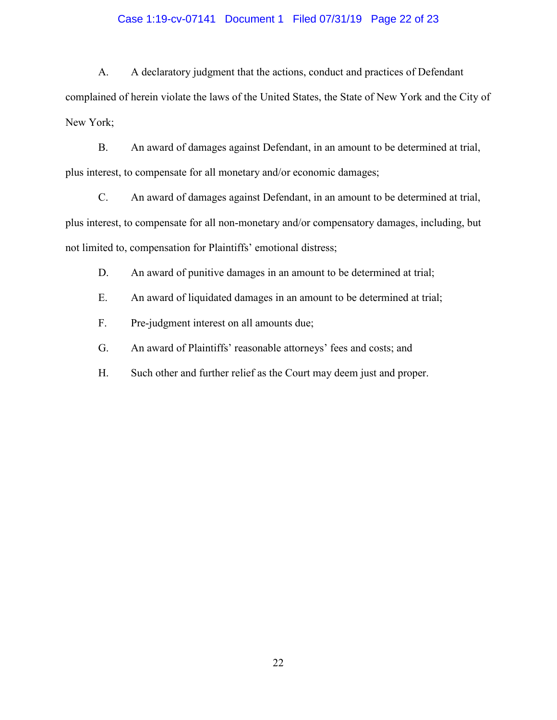## Case 1:19-cv-07141 Document 1 Filed 07/31/19 Page 22 of 23

A. A declaratory judgment that the actions, conduct and practices of Defendant complained of herein violate the laws of the United States, the State of New York and the City of New York;

B. An award of damages against Defendant, in an amount to be determined at trial, plus interest, to compensate for all monetary and/or economic damages;

C. An award of damages against Defendant, in an amount to be determined at trial, plus interest, to compensate for all non-monetary and/or compensatory damages, including, but not limited to, compensation for Plaintiffs' emotional distress;

D. An award of punitive damages in an amount to be determined at trial;

E. An award of liquidated damages in an amount to be determined at trial;

F. Pre-judgment interest on all amounts due;

G. An award of Plaintiffs' reasonable attorneys' fees and costs; and

H. Such other and further relief as the Court may deem just and proper.